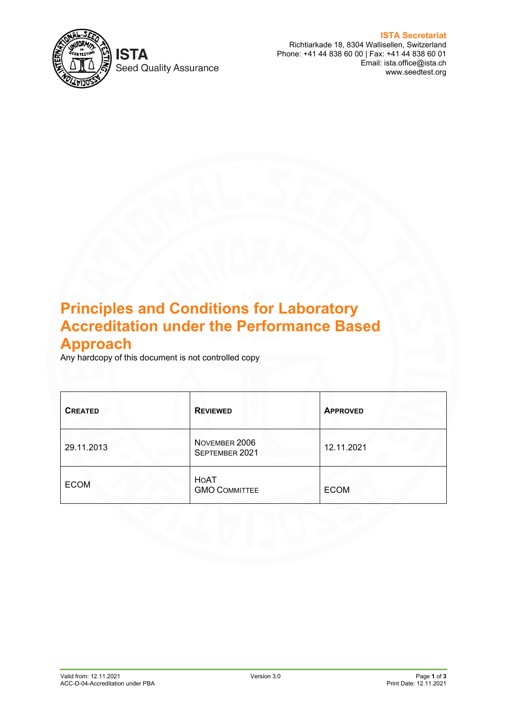

**Seed Quality Assurance** 

**ISTA Secretariat** Richtiarkade 18, 8304 Wallisellen, Switzerland Phone: +41 44 838 60 00 | Fax: +41 44 838 60 01 Email: ista.office@ista.ch www.seedtest.org

# **Principles and Conditions for Laboratory Accreditation under the Performance Based Approach**

Any hardcopy of this document is not controlled copy

| <b>CREATED</b> | <b>REVIEWED</b>                 | <b>APPROVED</b> |
|----------------|---------------------------------|-----------------|
| 29.11.2013     | NOVEMBER 2006<br>SEPTEMBER 2021 | 12.11.2021      |
| <b>ECOM</b>    | HOAT<br><b>GMO COMMITTEE</b>    | <b>ECOM</b>     |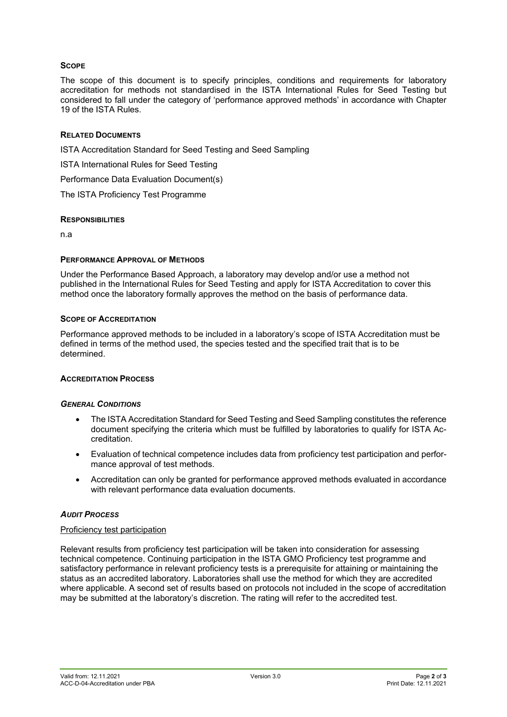# **SCOPE**

The scope of this document is to specify principles, conditions and requirements for laboratory accreditation for methods not standardised in the ISTA International Rules for Seed Testing but considered to fall under the category of 'performance approved methods' in accordance with Chapter 19 of the ISTA Rules.

## **RELATED DOCUMENTS**

ISTA Accreditation Standard for Seed Testing and Seed Sampling

ISTA International Rules for Seed Testing

Performance Data Evaluation Document(s)

The ISTA Proficiency Test Programme

#### **RESPONSIBILITIES**

n.a

## **PERFORMANCE APPROVAL OF METHODS**

Under the Performance Based Approach, a laboratory may develop and/or use a method not published in the International Rules for Seed Testing and apply for ISTA Accreditation to cover this method once the laboratory formally approves the method on the basis of performance data.

## **SCOPE OF ACCREDITATION**

Performance approved methods to be included in a laboratory's scope of ISTA Accreditation must be defined in terms of the method used, the species tested and the specified trait that is to be determined.

# **ACCREDITATION PROCESS**

#### *GENERAL CONDITIONS*

- The ISTA Accreditation Standard for Seed Testing and Seed Sampling constitutes the reference document specifying the criteria which must be fulfilled by laboratories to qualify for ISTA Accreditation.
- Evaluation of technical competence includes data from proficiency test participation and performance approval of test methods.
- Accreditation can only be granted for performance approved methods evaluated in accordance with relevant performance data evaluation documents.

# *AUDIT PROCESS*

#### Proficiency test participation

Relevant results from proficiency test participation will be taken into consideration for assessing technical competence. Continuing participation in the ISTA GMO Proficiency test programme and satisfactory performance in relevant proficiency tests is a prerequisite for attaining or maintaining the status as an accredited laboratory. Laboratories shall use the method for which they are accredited where applicable. A second set of results based on protocols not included in the scope of accreditation may be submitted at the laboratory's discretion. The rating will refer to the accredited test.